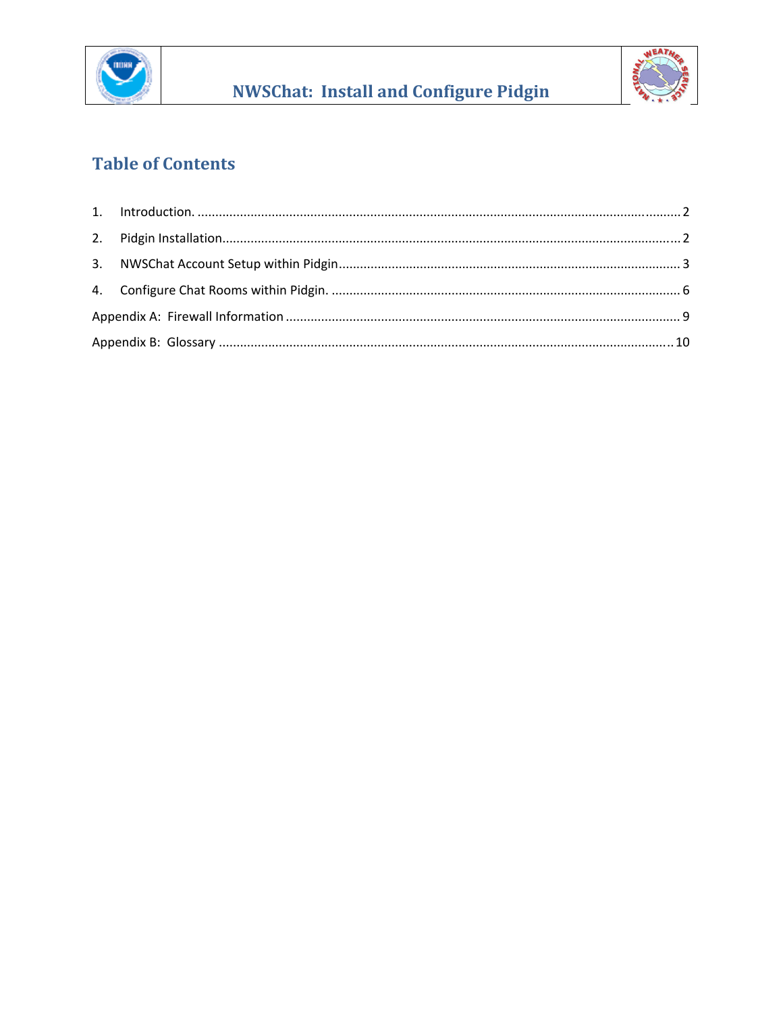

**NWSChat: Install and Configure Pidgin** 



## **Table of Contents**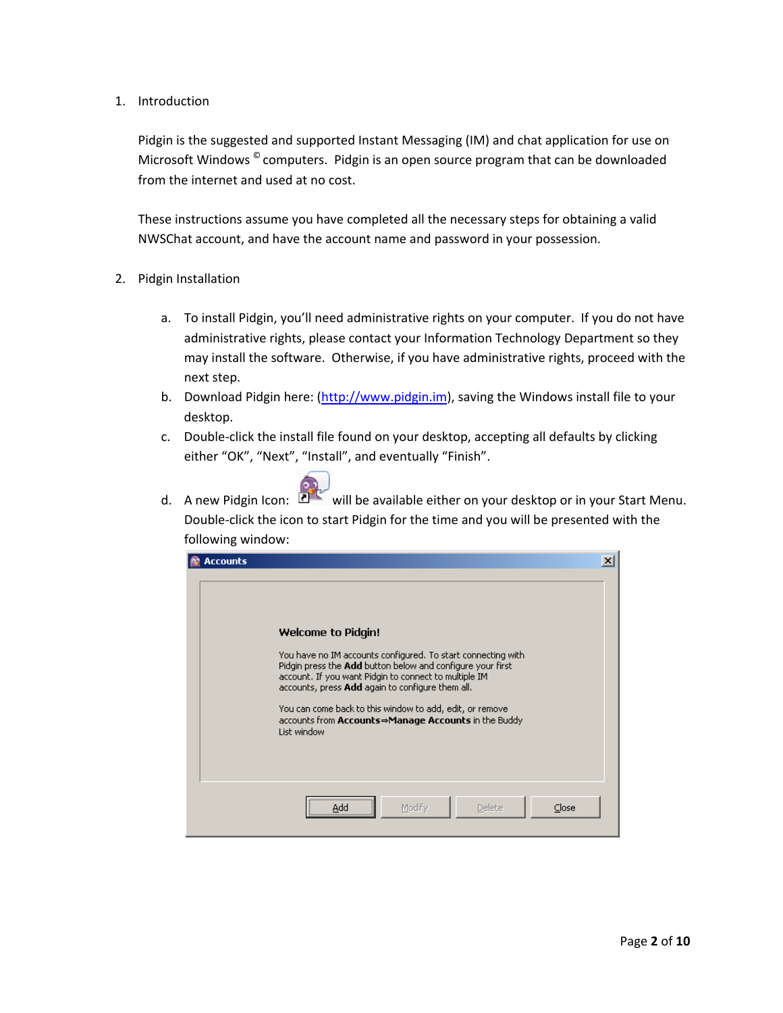<span id="page-1-0"></span>1. Introduction

Pidgin is the suggested and supported Instant Messaging (IM) and chat application for use on Microsoft Windows  $^{\circ}$  computers. Pidgin is an open source program that can be downloaded from the internet and used at no cost.

These instructions assume you have completed all the necessary steps for obtaining a valid NWSChat account, and have the account name and password in your possession.

- 2. Pidgin Installation
	- a. To install Pidgin, you'll need administrative rights on your computer. If you do not have administrative rights, please contact your Information Technology Department so they may install the software. Otherwise, if you have administrative rights, proceed with the next step.
	- b. Download Pidgin here: [\(http://www.pidgin.im\)](http://www.pidgin.im/), saving the Windows install file to your desktop.
	- c. Double‐click the install file found on your desktop, accepting all defaults by clicking either "OK", "Next", "Install", and eventually "Finish".
	- d. A new Pidgin Icon:  $\mathbb{Z}^{\mathbb{Z}^{\times}}$  will be available either on your desktop or in your Start Menu. Double‐click the icon to start Pidgin for the time and you will be presented with the following window:

| <b>Accounts</b> |                                                                                                                                                                                                                                                                                                                                                                                                        |  |
|-----------------|--------------------------------------------------------------------------------------------------------------------------------------------------------------------------------------------------------------------------------------------------------------------------------------------------------------------------------------------------------------------------------------------------------|--|
|                 | <b>Welcome to Pidgin!</b><br>You have no IM accounts configured. To start connecting with<br>Pidgin press the Add button below and configure your first<br>account. If you want Pidgin to connect to multiple IM<br>accounts, press Add again to configure them all.<br>You can come back to this window to add, edit, or remove<br>accounts from Accounts⇒Manage Accounts in the Buddy<br>List window |  |
|                 | Modify<br>Delete<br>Close<br>Add                                                                                                                                                                                                                                                                                                                                                                       |  |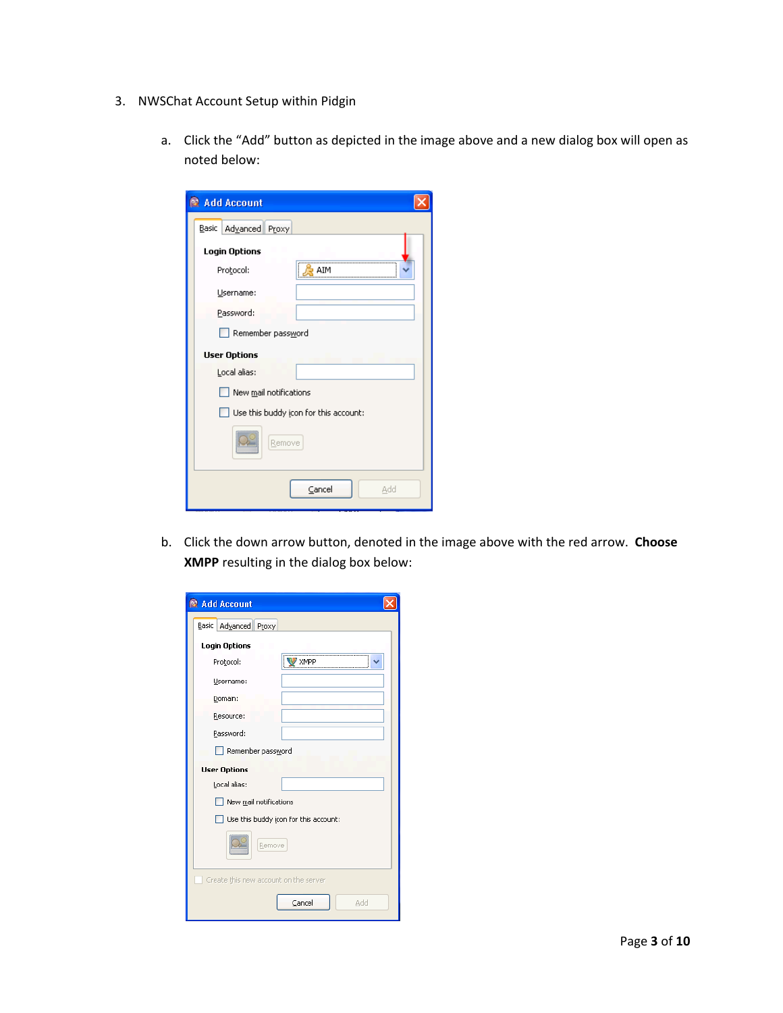- <span id="page-2-0"></span>3. NWSChat Account Setup within Pidgin
	- a. Click the "Add" button as depicted in the image above and a new dialog box will open as noted below:

| Add Account             |                                       |
|-------------------------|---------------------------------------|
| Advanced Proxy<br>Basic |                                       |
| <b>Login Options</b>    |                                       |
| Protocol:               | AIM                                   |
| Username:               |                                       |
| Password:               |                                       |
| Remember password       |                                       |
| <b>User Options</b>     |                                       |
| Local alias:            |                                       |
| New mail notifications  |                                       |
|                         | Use this buddy icon for this account: |
| Remove                  |                                       |
|                         | Cancel<br>Add                         |

b. Click the down arrow button, denoted in the image above with the red arrow. **Choose XMPP** resulting in the dialog box below:

| Redd Account                          |
|---------------------------------------|
| Advanced Proxy<br>Basic               |
| <b>Login Options</b>                  |
| Protocol:<br>XMPP                     |
| Username:                             |
| Domain:                               |
| Resource:                             |
| Password:                             |
| Remember password                     |
| <b>User Options</b>                   |
| Local alias:                          |
| New mail notifications                |
| Use this buddy icon for this account: |
| Remove                                |
| Create this new account on the server |
| Cancel<br>Add                         |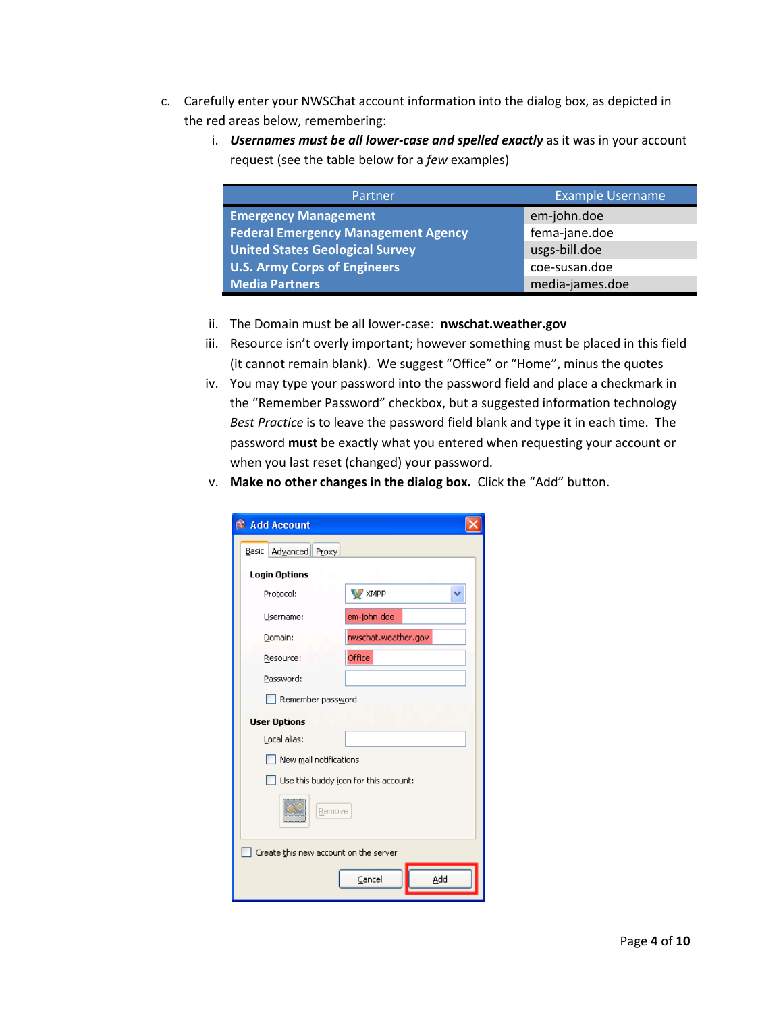- c. Carefully enter your NWSChat account information into the dialog box, as depicted in the red areas below, remembering:
	- i. *Usernames must be all lower‐case and spelled exactly* as it was in your account request (see the table below for a *few* examples)

| Partner                                    | <b>Example Username</b> |
|--------------------------------------------|-------------------------|
| <b>Emergency Management</b>                | em-john.doe             |
| <b>Federal Emergency Management Agency</b> | fema-jane.doe           |
| <b>United States Geological Survey</b>     | usgs-bill.doe           |
| <b>U.S. Army Corps of Engineers</b>        | coe-susan.doe           |
| <b>Media Partners</b>                      | media-james.doe         |

- ii. The Domain must be all lower‐case: **nwschat.weather.gov**
- iii. Resource isn't overly important; however something must be placed in this field (it cannot remain blank). We suggest "Office" or "Home", minus the quotes
- iv. You may type your password into the password field and place a checkmark in the "Remember Password" checkbox, but a suggested information technology *Best Practice* is to leave the password field blank and type it in each time. The password **must** be exactly what you entered when requesting your account or when you last reset (changed) your password.
- v. **Make no other changes in the dialog box.** Click the "Add" button.

| <b>Add Account</b>                    |                                       |
|---------------------------------------|---------------------------------------|
| Advanced Proxy<br>Basic               |                                       |
| <b>Login Options</b>                  |                                       |
| Protocol:                             | <b>W</b> XMPP                         |
| Username:                             | em-john.doe                           |
| Domain:                               | nwschat.weather.gov                   |
| Resource:                             | Office                                |
| Password:                             |                                       |
| Remember password                     |                                       |
| <b>User Options</b>                   |                                       |
| Local alias:                          |                                       |
| New mail notifications                |                                       |
|                                       | Use this buddy icon for this account: |
| Remove                                |                                       |
| Create this new account on the server |                                       |
|                                       | Add<br>Cancel                         |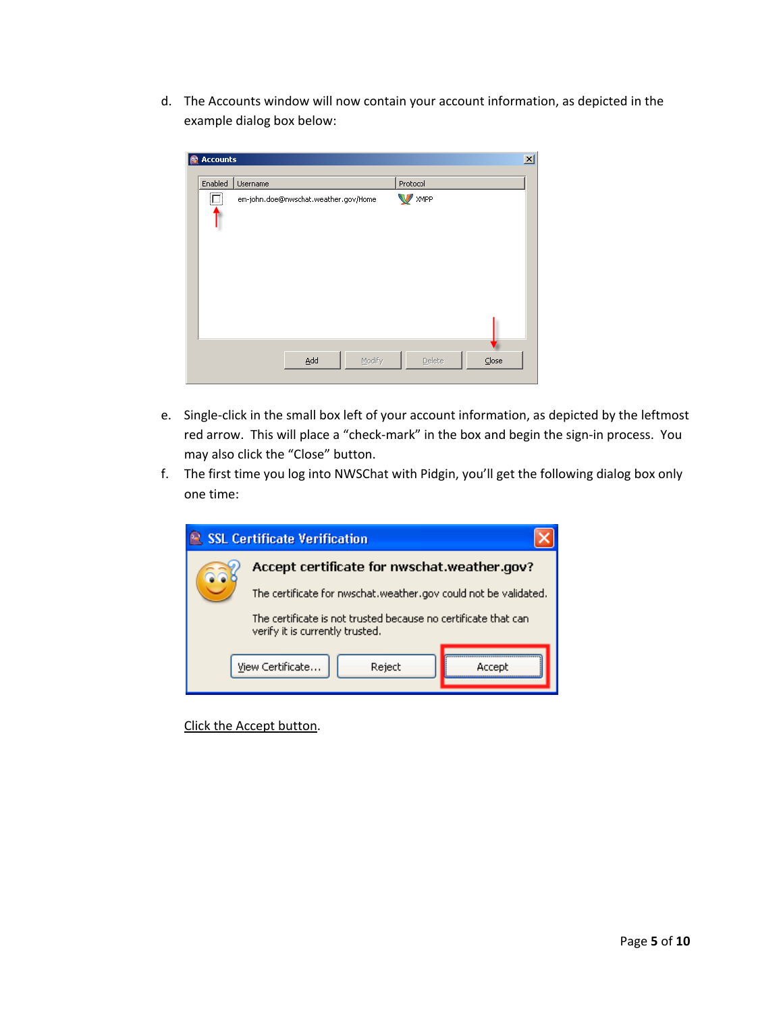d. The Accounts window will now contain your account information, as depicted in the example dialog box below:

| 凾 | <b>Accounts</b>          |                                      |                 | $\vert x \vert$ |
|---|--------------------------|--------------------------------------|-----------------|-----------------|
|   | Enabled                  | Username                             | Protocol        |                 |
|   | $\Box$<br>. <del>.</del> | em-john.doe@nwschat.weather.gov/Home | <b>XMPP</b>     |                 |
|   |                          | Add<br>Modify                        | Close<br>Delete |                 |

- e. Single‐click in the small box left of your account information, as depicted by the leftmost red arrow. This will place a "check-mark" in the box and begin the sign-in process. You may also click the "Close" button.
- f. The first time you log into NWSChat with Pidgin, you'll get the following dialog box only one time:



Click the Accept button.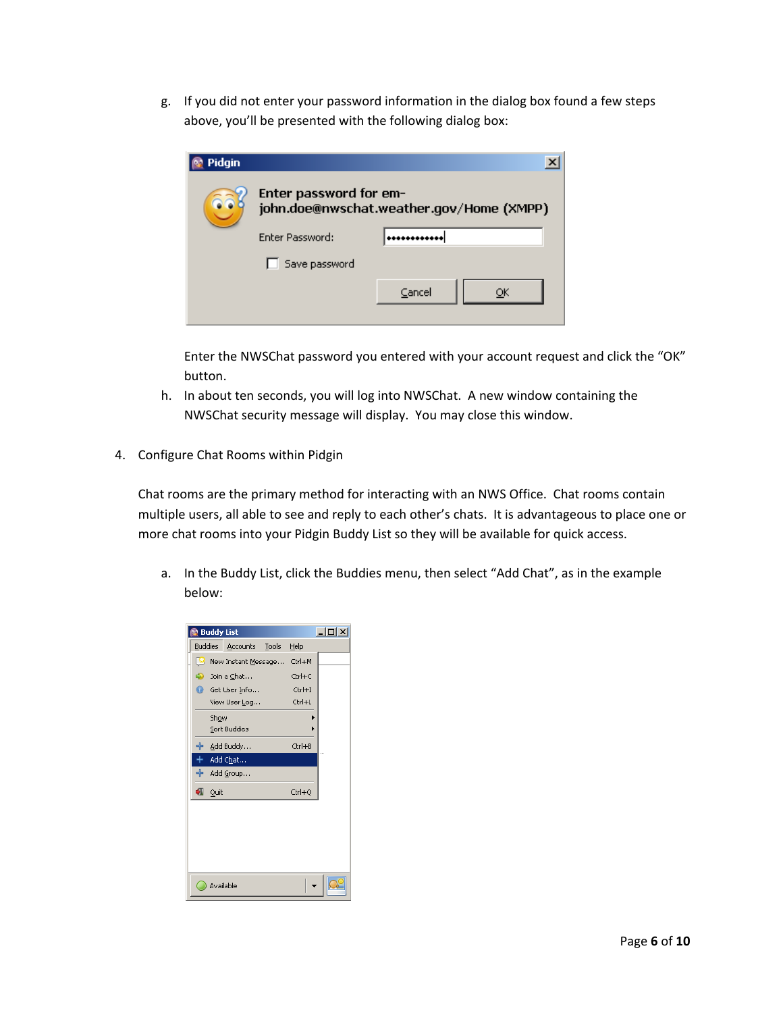<span id="page-5-0"></span>g. If you did not enter your password information in the dialog box found a few steps above, you'll be presented with the following dialog box:

| Pidgin |                        |                                          |
|--------|------------------------|------------------------------------------|
|        | Enter password for em- | john.doe@nwschat.weather.gov/Home (XMPP) |
|        | <b>Enter Password:</b> |                                          |
|        | Save password          |                                          |
|        |                        | Cancel                                   |
|        |                        |                                          |

Enter the NWSChat password you entered with your account request and click the "OK" button.

- h. In about ten seconds, you will log into NWSChat. A new window containing the NWSChat security message will display. You may close this window.
- 4. Configure Chat Rooms within Pidgin

Chat rooms are the primary method for interacting with an NWS Office. Chat rooms contain multiple users, all able to see and reply to each other's chats. It is advantageous to place one or more chat rooms into your Pidgin Buddy List so they will be available for quick access.

a. In the Buddy List, click the Buddies menu, then select "Add Chat", as in the example below:

|    |           | <b>Buddy List</b>           |            | $ \Box$ $\times$ |
|----|-----------|-----------------------------|------------|------------------|
|    |           | Buddies Accounts Tools Help |            |                  |
| ıч |           | New Instant Message         | Ctrl+M     |                  |
|    |           | p Join a Chat               | Ctrl+C     |                  |
|    |           | Get User Info               | $CtrI + I$ |                  |
|    |           | View User Log               | Ctrl+L     |                  |
|    | Show      |                             |            |                  |
|    |           | Sort Buddies                | ١          |                  |
|    |           | ╬ Add Buddy                 | Ctrl+B     |                  |
|    |           | + Add Chat                  |            |                  |
|    |           | 中 Add Group                 |            |                  |
| ₩  | Quit      |                             | Ctrl+Q     |                  |
|    |           |                             |            |                  |
|    | Available |                             |            |                  |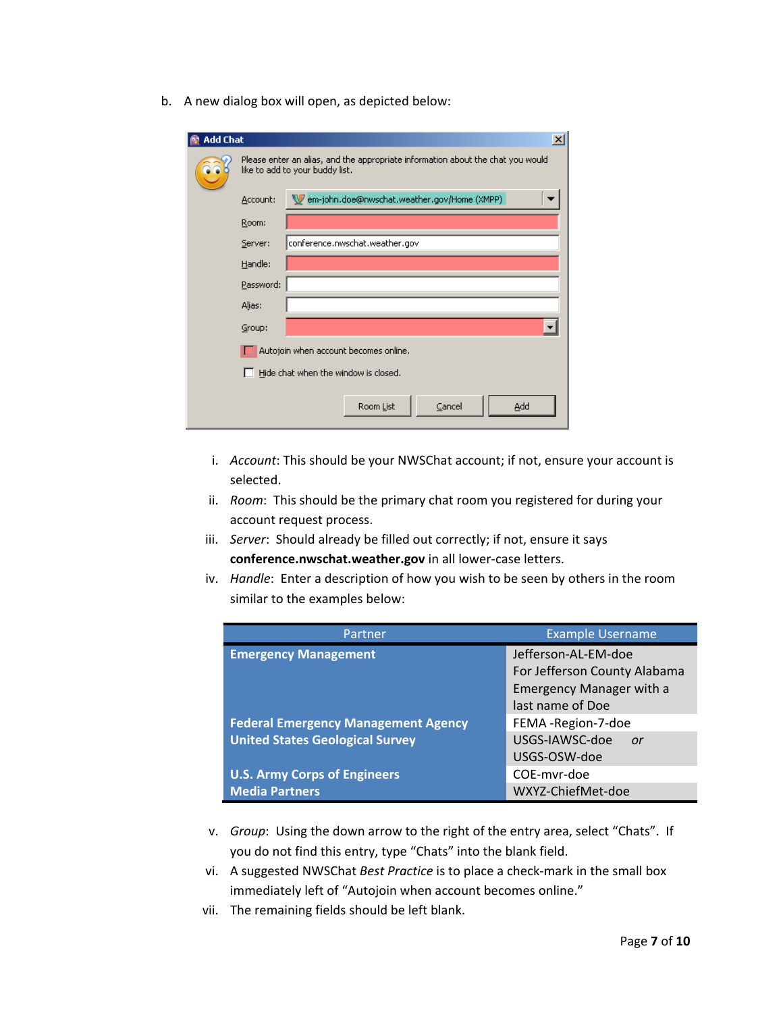b. A new dialog box will open, as depicted below:

| <b>Add Chat</b> |                                                                                                                    |                                              |  |  |  |
|-----------------|--------------------------------------------------------------------------------------------------------------------|----------------------------------------------|--|--|--|
|                 | Please enter an alias, and the appropriate information about the chat you would<br>like to add to your buddy list. |                                              |  |  |  |
|                 | Account:                                                                                                           | Mem-john.doe@nwschat.weather.gov/Home (XMPP) |  |  |  |
|                 | Room:                                                                                                              |                                              |  |  |  |
|                 | Server:                                                                                                            | conference.nwschat.weather.gov               |  |  |  |
|                 | Handle:                                                                                                            |                                              |  |  |  |
|                 | Password:                                                                                                          |                                              |  |  |  |
|                 | Alias:                                                                                                             |                                              |  |  |  |
|                 | Group:                                                                                                             |                                              |  |  |  |
|                 |                                                                                                                    | Autojoin when account becomes online.        |  |  |  |
|                 |                                                                                                                    | Hide chat when the window is closed.         |  |  |  |
|                 |                                                                                                                    | Add<br>Room List<br>Cancel                   |  |  |  |

- i. *Account*: This should be your NWSChat account; if not, ensure your account is selected.
- ii. *Room*: This should be the primary chat room you registered for during your account request process.
- iii. *Server*: Should already be filled out correctly; if not, ensure it says **conference.nwschat.weather.gov** in all lower‐case letters.
- iv. *Handle*: Enter a description of how you wish to be seen by others in the room similar to the examples below:

| Partner                                    | <b>Example Username</b>         |  |
|--------------------------------------------|---------------------------------|--|
| <b>Emergency Management</b>                | Jefferson-AL-EM-doe             |  |
|                                            | For Jefferson County Alabama    |  |
|                                            | <b>Emergency Manager with a</b> |  |
|                                            | last name of Doe                |  |
| <b>Federal Emergency Management Agency</b> | FEMA -Region-7-doe              |  |
| <b>United States Geological Survey</b>     | USGS-IAWSC-doe<br>or            |  |
|                                            | USGS-OSW-doe                    |  |
| <b>U.S. Army Corps of Engineers</b>        | COE-myr-doe                     |  |
| <b>Media Partners</b>                      | WXYZ-ChiefMet-doe               |  |

- v. *Group*: Using the down arrow to the right of the entry area, select "Chats". If you do not find this entry, type "Chats" into the blank field.
- vi. A suggested NWSChat *Best Practice* is to place a check‐mark in the small box immediately left of "Autojoin when account becomes online."
- vii. The remaining fields should be left blank.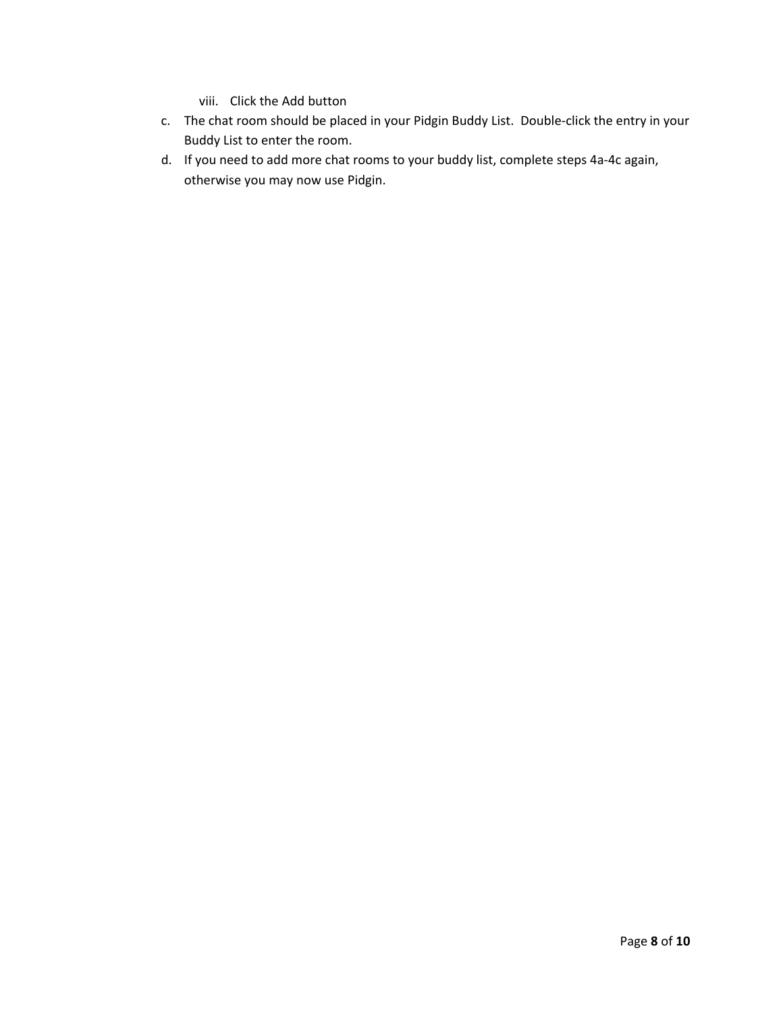- viii. Click the Add button
- c. The chat room should be placed in your Pidgin Buddy List. Double‐click the entry in your Buddy List to enter the room.
- d. If you need to add more chat rooms to your buddy list, complete steps 4a‐4c again, otherwise you may now use Pidgin.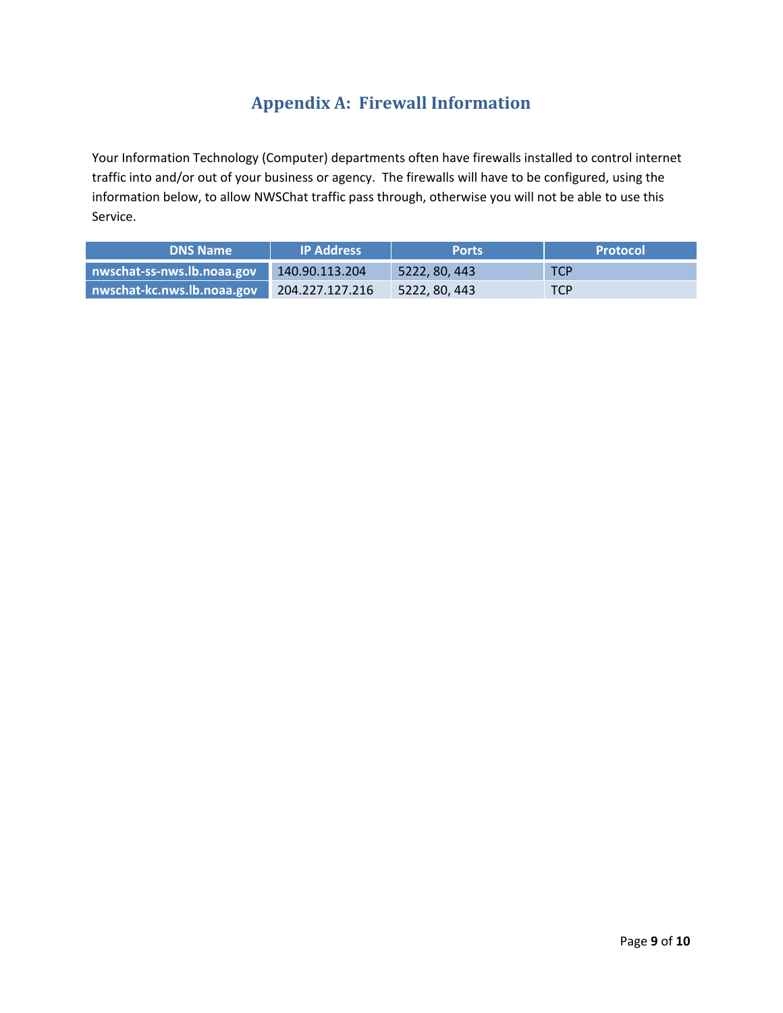## **Appendix A: Firewall Information**

<span id="page-8-0"></span>Your Information Technology (Computer) departments often have firewalls installed to control internet traffic into and/or out of your business or agency. The firewalls will have to be configured, using the information below, to allow NWSChat traffic pass through, otherwise you will not be able to use this Service.

| <b>DNS Name</b>            | IP Address      | <b>Ports</b>  | <b>Protocol</b> |
|----------------------------|-----------------|---------------|-----------------|
| nwschat-ss-nws.lb.noaa.gov | 140.90.113.204  | 5222, 80, 443 | <b>TCP</b>      |
| nwschat-kc.nws.lb.noaa.gov | 204.227.127.216 | 5222, 80, 443 | <b>TCP</b>      |